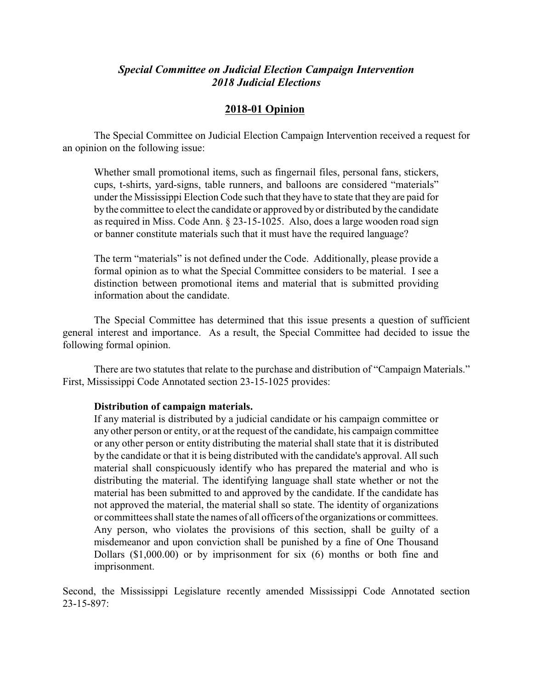## *Special Committee on Judicial Election Campaign Intervention 2018 Judicial Elections*

## **2018-01 Opinion**

The Special Committee on Judicial Election Campaign Intervention received a request for an opinion on the following issue:

Whether small promotional items, such as fingernail files, personal fans, stickers, cups, t-shirts, yard-signs, table runners, and balloons are considered "materials" under the Mississippi Election Code such that they have to state that they are paid for by the committee to elect the candidate or approved by or distributed by the candidate as required in Miss. Code Ann. § 23-15-1025. Also, does a large wooden road sign or banner constitute materials such that it must have the required language?

The term "materials" is not defined under the Code. Additionally, please provide a formal opinion as to what the Special Committee considers to be material. I see a distinction between promotional items and material that is submitted providing information about the candidate.

The Special Committee has determined that this issue presents a question of sufficient general interest and importance. As a result, the Special Committee had decided to issue the following formal opinion.

There are two statutes that relate to the purchase and distribution of "Campaign Materials." First, Mississippi Code Annotated section 23-15-1025 provides:

## **Distribution of campaign materials.**

If any material is distributed by a judicial candidate or his campaign committee or any other person or entity, or at the request of the candidate, his campaign committee or any other person or entity distributing the material shall state that it is distributed by the candidate or that it is being distributed with the candidate's approval. All such material shall conspicuously identify who has prepared the material and who is distributing the material. The identifying language shall state whether or not the material has been submitted to and approved by the candidate. If the candidate has not approved the material, the material shall so state. The identity of organizations or committees shall state the names of all officers of the organizations or committees. Any person, who violates the provisions of this section, shall be guilty of a misdemeanor and upon conviction shall be punished by a fine of One Thousand Dollars (\$1,000.00) or by imprisonment for six (6) months or both fine and imprisonment.

Second, the Mississippi Legislature recently amended Mississippi Code Annotated section 23-15-897: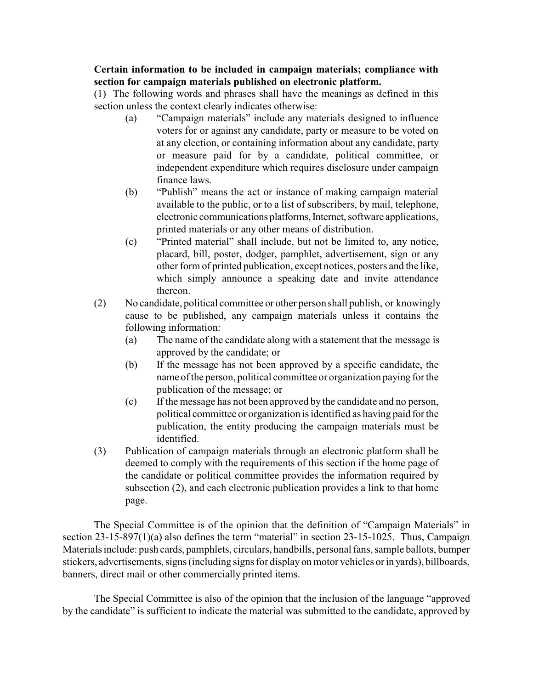## **Certain information to be included in campaign materials; compliance with section for campaign materials published on electronic platform.**

(1) The following words and phrases shall have the meanings as defined in this section unless the context clearly indicates otherwise:

- (a) "Campaign materials" include any materials designed to influence voters for or against any candidate, party or measure to be voted on at any election, or containing information about any candidate, party or measure paid for by a candidate, political committee, or independent expenditure which requires disclosure under campaign finance laws.
- (b) "Publish" means the act or instance of making campaign material available to the public, or to a list of subscribers, by mail, telephone, electronic communications platforms, Internet, software applications, printed materials or any other means of distribution.
- (c) "Printed material" shall include, but not be limited to, any notice, placard, bill, poster, dodger, pamphlet, advertisement, sign or any other form of printed publication, except notices, posters and the like, which simply announce a speaking date and invite attendance thereon.
- (2) No candidate, political committee or other person shall publish, or knowingly cause to be published, any campaign materials unless it contains the following information:
	- (a) The name of the candidate along with a statement that the message is approved by the candidate; or
	- (b) If the message has not been approved by a specific candidate, the name of the person, political committee or organization paying for the publication of the message; or
	- (c) If the message has not been approved by the candidate and no person, political committee or organization is identified as having paid for the publication, the entity producing the campaign materials must be identified.
- (3) Publication of campaign materials through an electronic platform shall be deemed to comply with the requirements of this section if the home page of the candidate or political committee provides the information required by subsection (2), and each electronic publication provides a link to that home page.

The Special Committee is of the opinion that the definition of "Campaign Materials" in section 23-15-897(1)(a) also defines the term "material" in section 23-15-1025. Thus, Campaign Materials include: push cards, pamphlets, circulars, handbills, personal fans, sample ballots, bumper stickers, advertisements, signs (including signs for display on motor vehicles or in yards), billboards, banners, direct mail or other commercially printed items.

The Special Committee is also of the opinion that the inclusion of the language "approved by the candidate" is sufficient to indicate the material was submitted to the candidate, approved by